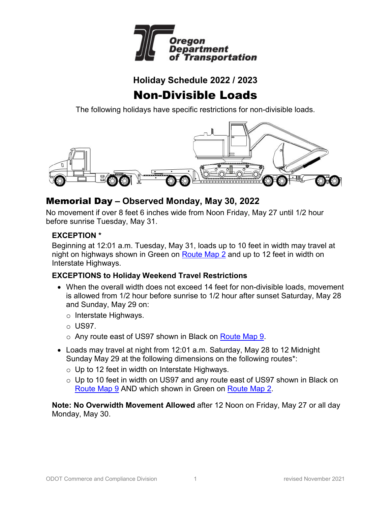

### **Holiday Schedule 2022 / 2023**

# Non-Divisible Loads

The following holidays have specific restrictions for non-divisible loads.



### Memorial Day **– Observed Monday, May 30, 2022**

No movement if over 8 feet 6 inches wide from Noon Friday, May 27 until 1/2 hour before sunrise Tuesday, May 31.

#### **EXCEPTION \***

Beginning at 12:01 a.m. Tuesday, May 31, loads up to 10 feet in width may travel at night on highways shown in Green on [Route Map 2](https://www.oregon.gov/ODOT/Forms/Motcarr/8101.pdf) and up to 12 feet in width on Interstate Highways.

#### **EXCEPTIONS to Holiday Weekend Travel Restrictions**

- When the overall width does not exceed 14 feet for non-divisible loads, movement is allowed from 1/2 hour before sunrise to 1/2 hour after sunset Saturday, May 28 and Sunday, May 29 on:
	- o Interstate Highways.
	- o US97.
	- o Any route east of US97 shown in Black on [Route Map 9.](https://www.oregon.gov/ODOT/Forms/Motcarr/8105.pdf)
- Loads may travel at night from 12:01 a.m. Saturday, May 28 to 12 Midnight Sunday May 29 at the following dimensions on the following routes\*:
	- o Up to 12 feet in width on Interstate Highways.
	- o Up to 10 feet in width on US97 and any route east of US97 shown in Black on [Route Map 9](https://www.oregon.gov/ODOT/Forms/Motcarr/8105.pdf) AND which shown in Green on [Route Map 2.](https://www.oregon.gov/ODOT/Forms/Motcarr/8101.pdf)

**Note: No Overwidth Movement Allowed** after 12 Noon on Friday, May 27 or all day Monday, May 30.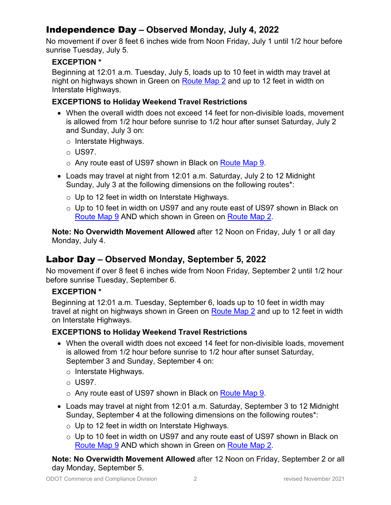### Independence Day **– Observed Monday, July 4, 2022**

No movement if over 8 feet 6 inches wide from Noon Friday, July 1 until 1/2 hour before sunrise Tuesday, July 5.

### **EXCEPTION \***

Beginning at 12:01 a.m. Tuesday, July 5, loads up to 10 feet in width may travel at night on highways shown in Green on [Route Map 2](https://www.oregon.gov/ODOT/Forms/Motcarr/8101.pdf) and up to 12 feet in width on Interstate Highways.

### **EXCEPTIONS to Holiday Weekend Travel Restrictions**

- When the overall width does not exceed 14 feet for non-divisible loads, movement is allowed from 1/2 hour before sunrise to 1/2 hour after sunset Saturday, July 2 and Sunday, July 3 on:
	- o Interstate Highways.
	- $\circ$  US97.
	- o Any route east of US97 shown in Black on [Route Map 9.](https://www.oregon.gov/ODOT/Forms/Motcarr/8105.pdf)
- Loads may travel at night from 12:01 a.m. Saturday, July 2 to 12 Midnight Sunday, July 3 at the following dimensions on the following routes\*:
	- o Up to 12 feet in width on Interstate Highways.
	- o Up to 10 feet in width on US97 and any route east of US97 shown in Black on [Route Map 9](https://www.oregon.gov/ODOT/Forms/Motcarr/8105.pdf) AND which shown in Green on [Route Map 2.](https://www.oregon.gov/ODOT/Forms/Motcarr/8101.pdf)

**Note: No Overwidth Movement Allowed** after 12 Noon on Friday, July 1 or all day Monday, July 4.

### Labor Day **– Observed Monday, September 5, 2022**

No movement if over 8 feet 6 inches wide from Noon Friday, September 2 until 1/2 hour before sunrise Tuesday, September 6.

### **EXCEPTION \***

Beginning at 12:01 a.m. Tuesday, September 6, loads up to 10 feet in width may travel at night on highways shown in Green on [Route Map 2](https://www.oregon.gov/ODOT/Forms/Motcarr/8101.pdf) and up to 12 feet in width on Interstate Highways.

#### **EXCEPTIONS to Holiday Weekend Travel Restrictions**

- When the overall width does not exceed 14 feet for non-divisible loads, movement is allowed from 1/2 hour before sunrise to 1/2 hour after sunset Saturday, September 3 and Sunday, September 4 on:
	- o Interstate Highways.
	- o US97.
	- o Any route east of US97 shown in Black on [Route Map 9.](https://www.oregon.gov/ODOT/Forms/Motcarr/8105.pdf)
- Loads may travel at night from 12:01 a.m. Saturday, September 3 to 12 Midnight Sunday, September 4 at the following dimensions on the following routes\*:
	- o Up to 12 feet in width on Interstate Highways.
	- o Up to 10 feet in width on US97 and any route east of US97 shown in Black on [Route Map 9](https://www.oregon.gov/ODOT/Forms/Motcarr/8105.pdf) AND which shown in Green on [Route Map 2.](https://www.oregon.gov/ODOT/Forms/Motcarr/8101.pdf)

**Note: No Overwidth Movement Allowed** after 12 Noon on Friday, September 2 or all day Monday, September 5.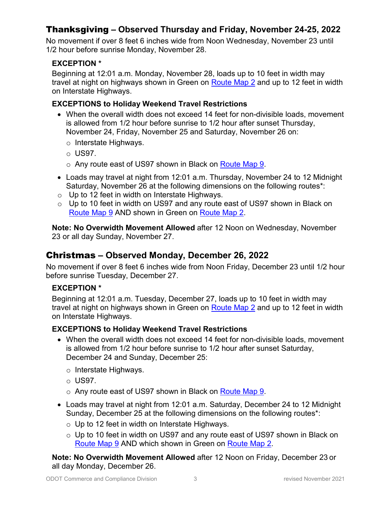### Thanksgiving **– Observed Thursday and Friday, November 24-25, 2022**

No movement if over 8 feet 6 inches wide from Noon Wednesday, November 23 until 1/2 hour before sunrise Monday, November 28.

### **EXCEPTION \***

Beginning at 12:01 a.m. Monday, November 28, loads up to 10 feet in width may travel at night on highways shown in Green on [Route Map 2](https://www.oregon.gov/ODOT/Forms/Motcarr/8101.pdf) and up to 12 feet in width on Interstate Highways.

### **EXCEPTIONS to Holiday Weekend Travel Restrictions**

- When the overall width does not exceed 14 feet for non-divisible loads, movement is allowed from 1/2 hour before sunrise to 1/2 hour after sunset Thursday, November 24, Friday, November 25 and Saturday, November 26 on:
	- o Interstate Highways.
	- $\circ$  US97.
	- o Any route east of US97 shown in Black on [Route Map 9.](https://www.oregon.gov/ODOT/Forms/Motcarr/8105.pdf)
- Loads may travel at night from 12:01 a.m. Thursday, November 24 to 12 Midnight Saturday, November 26 at the following dimensions on the following routes\*:
- $\circ$  Up to 12 feet in width on Interstate Highways.
- o Up to 10 feet in width on US97 and any route east of US97 shown in Black on [Route Map 9](https://www.oregon.gov/ODOT/Forms/Motcarr/8105.pdf) AND shown in Green on [Route Map 2.](https://www.oregon.gov/ODOT/Forms/Motcarr/8101.pdf)

**Note: No Overwidth Movement Allowed** after 12 Noon on Wednesday, November 23 or all day Sunday, November 27.

### Christmas **– Observed Monday, December 26, 2022**

No movement if over 8 feet 6 inches wide from Noon Friday, December 23 until 1/2 hour before sunrise Tuesday, December 27.

#### **EXCEPTION \***

Beginning at 12:01 a.m. Tuesday, December 27, loads up to 10 feet in width may travel at night on highways shown in Green on [Route Map 2](https://www.oregon.gov/ODOT/Forms/Motcarr/8101.pdf) and up to 12 feet in width on Interstate Highways.

#### **EXCEPTIONS to Holiday Weekend Travel Restrictions**

- When the overall width does not exceed 14 feet for non-divisible loads, movement is allowed from 1/2 hour before sunrise to 1/2 hour after sunset Saturday, December 24 and Sunday, December 25:
	- o Interstate Highways.
	- $\circ$  US97.
	- o Any route east of US97 shown in Black on [Route Map 9.](https://www.oregon.gov/ODOT/Forms/Motcarr/8105.pdf)
- Loads may travel at night from 12:01 a.m. Saturday, December 24 to 12 Midnight Sunday, December 25 at the following dimensions on the following routes\*:
	- o Up to 12 feet in width on Interstate Highways.
	- $\circ$  Up to 10 feet in width on US97 and any route east of US97 shown in Black on [Route Map 9](https://www.oregon.gov/ODOT/Forms/Motcarr/8105.pdf) AND which shown in Green on [Route Map 2.](https://www.oregon.gov/ODOT/Forms/Motcarr/8101.pdf)

**Note: No Overwidth Movement Allowed** after 12 Noon on Friday, December 23 or all day Monday, December 26.